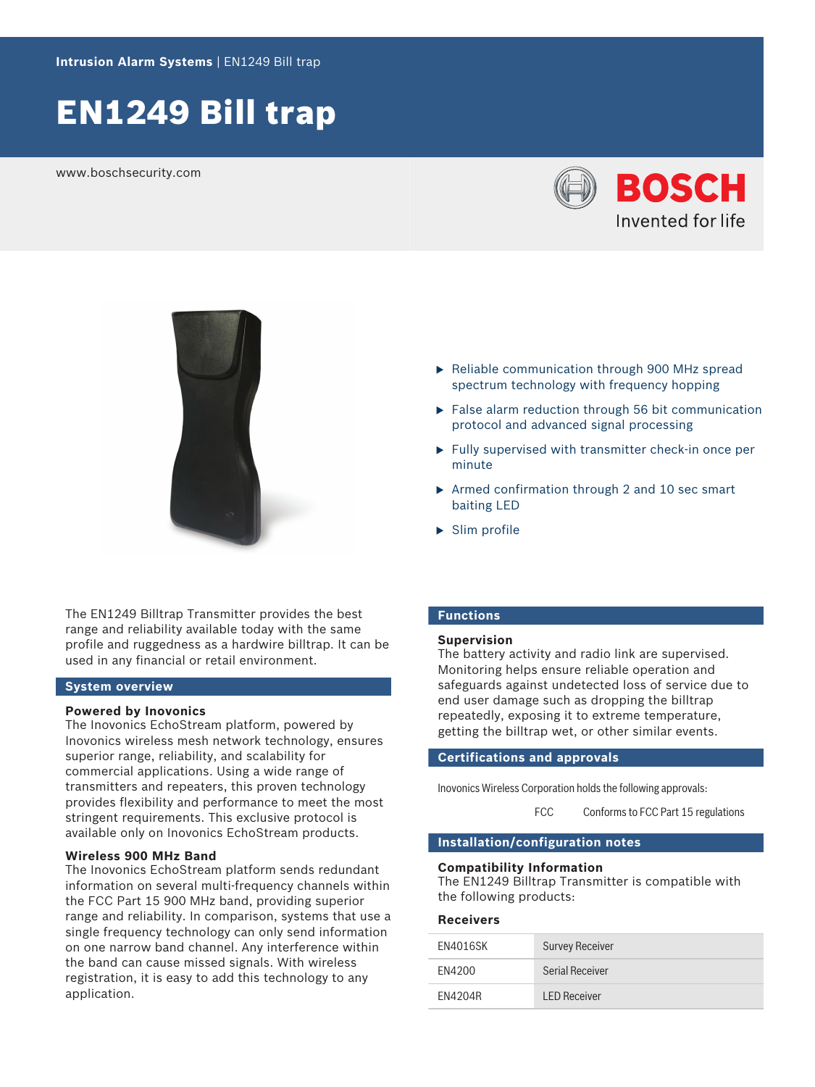# EN1249 Bill trap

www.boschsecurity.com





The EN1249 Billtrap Transmitter provides the best range and reliability available today with the same profile and ruggedness as a hardwire billtrap. It can be used in any financial or retail environment.

# **System overview**

### **Powered by Inovonics**

The Inovonics EchoStream platform, powered by Inovonics wireless mesh network technology, ensures superior range, reliability, and scalability for commercial applications. Using a wide range of transmitters and repeaters, this proven technology provides flexibility and performance to meet the most stringent requirements. This exclusive protocol is available only on Inovonics EchoStream products.

# **Wireless 900 MHz Band**

The Inovonics EchoStream platform sends redundant information on several multi-frequency channels within the FCC Part 15 900 MHz band, providing superior range and reliability. In comparison, systems that use a single frequency technology can only send information on one narrow band channel. Any interference within the band can cause missed signals. With wireless registration, it is easy to add this technology to any application.

- $\triangleright$  Reliable communication through 900 MHz spread spectrum technology with frequency hopping
- $\blacktriangleright$  False alarm reduction through 56 bit communication protocol and advanced signal processing
- $\blacktriangleright$  Fully supervised with transmitter check-in once per minute
- $\triangleright$  Armed confirmation through 2 and 10 sec smart baiting LED
- $\blacktriangleright$  Slim profile

# **Functions**

#### **Supervision**

The battery activity and radio link are supervised. Monitoring helps ensure reliable operation and safeguards against undetected loss of service due to end user damage such as dropping the billtrap repeatedly, exposing it to extreme temperature, getting the billtrap wet, or other similar events.

# **Certifications and approvals**

Inovonics Wireless Corporation holds the following approvals:

FCC Conforms to FCC Part 15 regulations

# **Installation/configuration notes**

#### **Compatibility Information**

The EN1249 Billtrap Transmitter is compatible with the following products:

#### **Receivers**

| EN4016SK | <b>Survey Receiver</b> |
|----------|------------------------|
| FN4200   | Serial Receiver        |
| FN4204R  | <b>LED Receiver</b>    |